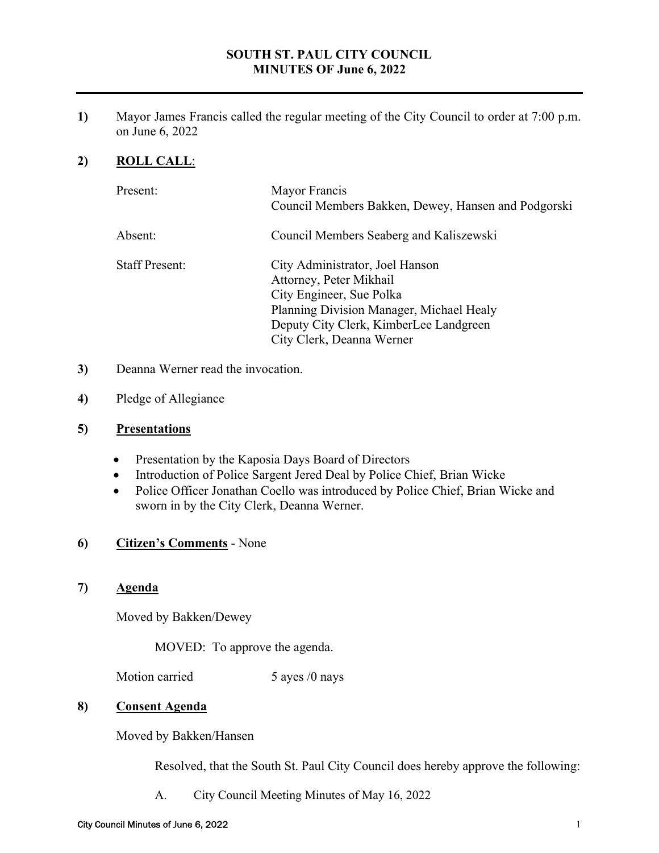# **SOUTH ST. PAUL CITY COUNCIL MINUTES OF June 6, 2022**

**1)** Mayor James Francis called the regular meeting of the City Council to order at 7:00 p.m. on June 6, 2022

# **2) ROLL CALL**:

| Present:              | Mayor Francis<br>Council Members Bakken, Dewey, Hansen and Podgorski                                                                                                                                      |
|-----------------------|-----------------------------------------------------------------------------------------------------------------------------------------------------------------------------------------------------------|
| Absent:               | Council Members Seaberg and Kaliszewski                                                                                                                                                                   |
| <b>Staff Present:</b> | City Administrator, Joel Hanson<br>Attorney, Peter Mikhail<br>City Engineer, Sue Polka<br>Planning Division Manager, Michael Healy<br>Deputy City Clerk, KimberLee Landgreen<br>City Clerk, Deanna Werner |

- **3)** Deanna Werner read the invocation.
- **4)** Pledge of Allegiance

### **5) Presentations**

- Presentation by the Kaposia Days Board of Directors
- Introduction of Police Sargent Jered Deal by Police Chief, Brian Wicke
- Police Officer Jonathan Coello was introduced by Police Chief, Brian Wicke and sworn in by the City Clerk, Deanna Werner.

### **6) Citizen's Comments** - None

**7) Agenda** 

Moved by Bakken/Dewey

MOVED: To approve the agenda.

Motion carried 5 ayes /0 nays

#### **8) Consent Agenda**

Moved by Bakken/Hansen

Resolved, that the South St. Paul City Council does hereby approve the following:

A. City Council Meeting Minutes of May 16, 2022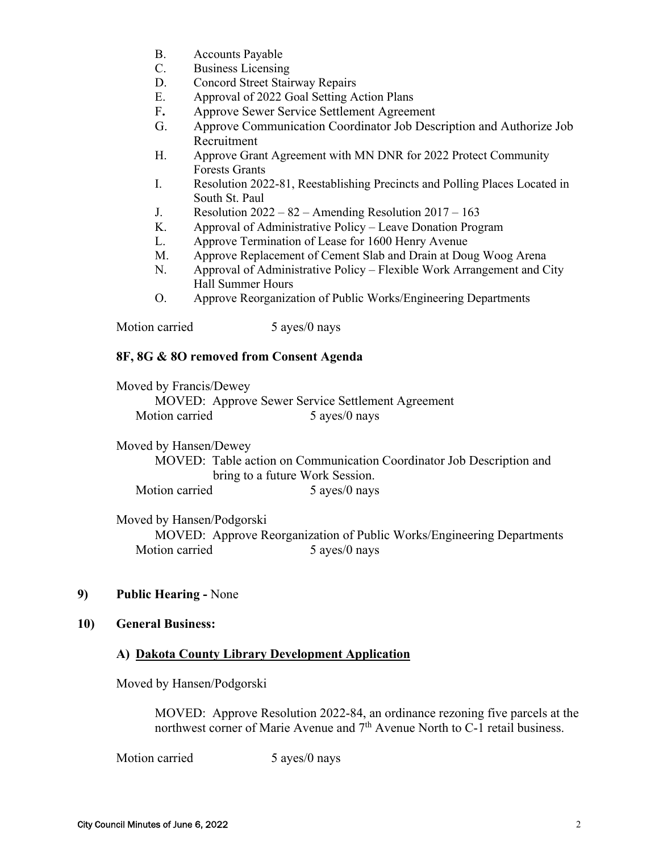- B. Accounts Payable
- C. Business Licensing
- D. Concord Street Stairway Repairs
- E. Approval of 2022 Goal Setting Action Plans
- F**.** Approve Sewer Service Settlement Agreement
- G. Approve Communication Coordinator Job Description and Authorize Job Recruitment
- H. Approve Grant Agreement with MN DNR for 2022 Protect Community Forests Grants
- I. Resolution 2022-81, Reestablishing Precincts and Polling Places Located in South St. Paul
- J. Resolution  $2022 82$  Amending Resolution  $2017 163$
- K. Approval of Administrative Policy Leave Donation Program
- L. Approve Termination of Lease for 1600 Henry Avenue
- M. Approve Replacement of Cement Slab and Drain at Doug Woog Arena
- N. Approval of Administrative Policy Flexible Work Arrangement and City Hall Summer Hours
- O. Approve Reorganization of Public Works/Engineering Departments

Motion carried 5 ayes/0 nays

#### **8F, 8G & 8O removed from Consent Agenda**

Moved by Francis/Dewey MOVED: Approve Sewer Service Settlement Agreement Motion carried 5 ayes/0 nays

Moved by Hansen/Dewey

 MOVED: Table action on Communication Coordinator Job Description and bring to a future Work Session. Motion carried 5 ayes/0 nays

Moved by Hansen/Podgorski

MOVED: Approve Reorganization of Public Works/Engineering Departments Motion carried 5 ayes/0 nays

### **9) Public Hearing -** None

#### **10) General Business:**

### **A) Dakota County Library Development Application**

Moved by Hansen/Podgorski

MOVED: Approve Resolution 2022-84, an ordinance rezoning five parcels at the northwest corner of Marie Avenue and 7<sup>th</sup> Avenue North to C-1 retail business.

Motion carried 5 ayes/0 nays